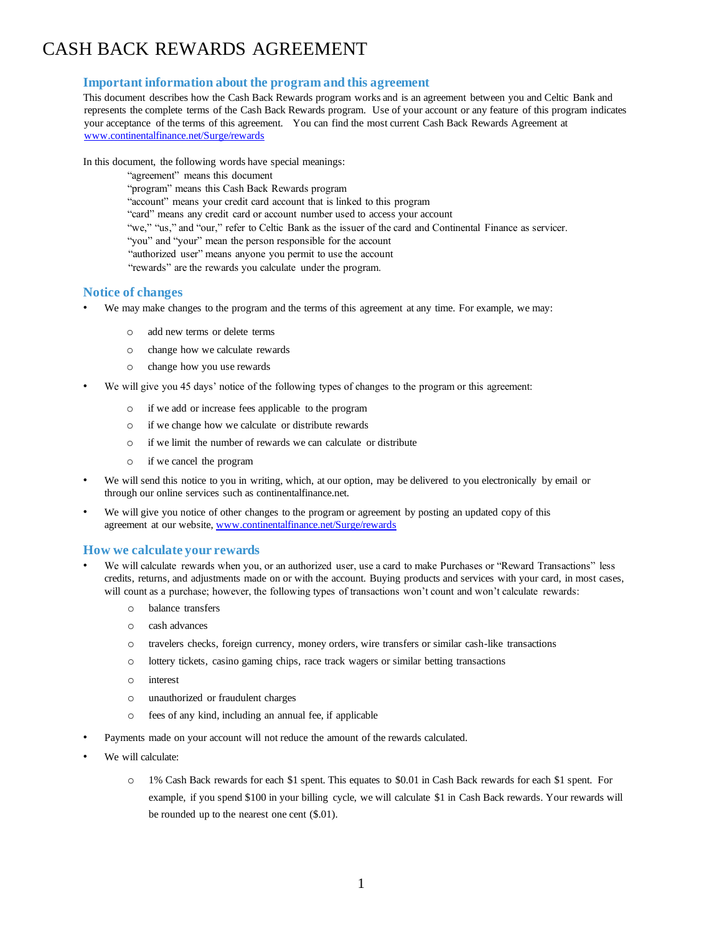# CASH BACK REWARDS AGREEMENT

## **Important information about the program and this agreement**

This document describes how the Cash Back Rewards program works and is an agreement between you and Celtic Bank and represents the complete terms of the Cash Back Rewards program. Use of your account or any feature of this program indicates your acceptance of the terms of this agreement. You can find the most current Cash Back Rewards Agreement at [www.continenta](http://test.continentalfinance.net/Surge/rewards/M-132581%20New%20Rewards%20Agreement.pdf)[lfinance.net/Surge/rewards](https://continentalfinance.net/Content/PDF/New%20Rewards%20Agreement%20-%20Surge_for%201%25%20cash%20back%20on%20purchases_clean%20v1%20%20M-132581.pdf)

In this document, the following words have special meanings:

"agreement" means this document "program" means this Cash Back Rewards program "account" means your credit card account that is linked to this program "card" means any credit card or account number used to access your account "we," "us," and "our," refer to Celtic Bank as the issuer of the card and Continental Finance as servicer. "you" and "your" mean the person responsible for the account "authorized user" means anyone you permit to use the account "rewards" are the rewards you calculate under the program.

#### **Notice of changes**

- We may make changes to the program and the terms of this agreement at any time. For example, we may:
	- o add new terms or delete terms
	- o change how we calculate rewards
	- o change how you use rewards
- We will give you 45 days' notice of the following types of changes to the program or this agreement:
	- o if we add or increase fees applicable to the program
	- o if we change how we calculate or distribute rewards
	- o if we limit the number of rewards we can calculate or distribute
	- o if we cancel the program
- We will send this notice to you in writing, which, at our option, may be delivered to you electronically by email or through our online services such as continentalfinance.net.
- We will give you notice of other changes to the program or agreement by posting an updated copy of this agreement at our websi[te,](http://www.continentalfinance.net/%3c%3cproductname%3e%3e/rewards) [www.continentalfinance.net/Surge/rewards](https://continentalfinance.net/Content/PDF/New%20Rewards%20Agreement%20-%20Surge_for%201%25%20cash%20back%20on%20purchases_clean%20v1%20%20M-132581.pdf)

#### **How we calculate your rewards**

- We will calculate rewards when you, or an authorized user, use a card to make Purchases or "Reward Transactions" less credits, returns, and adjustments made on or with the account. Buying products and services with your card, in most cases, will count as a purchase; however, the following types of transactions won't count and won't calculate rewards:
	- o balance transfers
	- o cash advances
	- o travelers checks, foreign currency, money orders, wire transfers or similar cash-like transactions
	- o lottery tickets, casino gaming chips, race track wagers or similar betting transactions
	- o interest
	- o unauthorized or fraudulent charges
	- o fees of any kind, including an annual fee, if applicable
- Payments made on your account will not reduce the amount of the rewards calculated.
- We will calculate:
	- o 1% Cash Back rewards for each \$1 spent. This equates to \$0.01 in Cash Back rewards for each \$1 spent. For example, if you spend \$100 in your billing cycle, we will calculate \$1 in Cash Back rewards. Your rewards will be rounded up to the nearest one cent (\$.01).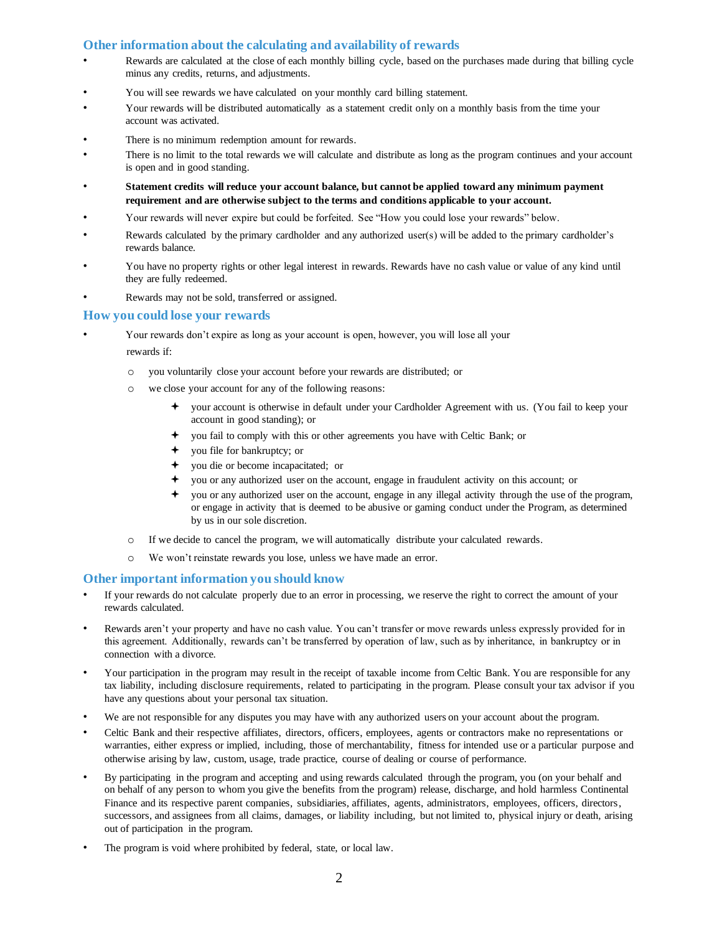## **Other information about the calculating and availability of rewards**

- Rewards are calculated at the close of each monthly billing cycle, based on the purchases made during that billing cycle minus any credits, returns, and adjustments.
- You will see rewards we have calculated on your monthly card billing statement.
- Your rewards will be distributed automatically as a statement credit only on a monthly basis from the time your account was activated.
- There is no minimum redemption amount for rewards.
- There is no limit to the total rewards we will calculate and distribute as long as the program continues and your account is open and in good standing.
- **Statement credits will reduce your account balance, but cannot be applied toward any minimum payment requirement and are otherwise subject to the terms and conditions applicable to your account.**
- Your rewards will never expire but could be forfeited. See "How you could lose your rewards" below.
- Rewards calculated by the primary cardholder and any authorized user(s) will be added to the primary cardholder's rewards balance.
- You have no property rights or other legal interest in rewards. Rewards have no cash value or value of any kind until they are fully redeemed.
- Rewards may not be sold, transferred or assigned.

#### **How you could lose your rewards**

- Your rewards don't expire as long as your account is open, however, you will lose all your rewards if:
	- o you voluntarily close your account before your rewards are distributed; or
	- o we close your account for any of the following reasons:
		- your account is otherwise in default under your Cardholder Agreement with us. (You fail to keep your account in good standing); or
		- you fail to comply with this or other agreements you have with Celtic Bank; or
		- you file for bankruptcy; or
		- you die or become incapacitated; or
		- you or any authorized user on the account, engage in fraudulent activity on this account; or
		- you or any authorized user on the account, engage in any illegal activity through the use of the program, or engage in activity that is deemed to be abusive or gaming conduct under the Program, as determined by us in our sole discretion.
	- o If we decide to cancel the program, we will automatically distribute your calculated rewards.
	- o We won't reinstate rewards you lose, unless we have made an error.

#### **Other important information you should know**

- If your rewards do not calculate properly due to an error in processing, we reserve the right to correct the amount of your rewards calculated.
- Rewards aren't your property and have no cash value. You can't transfer or move rewards unless expressly provided for in this agreement. Additionally, rewards can't be transferred by operation of law, such as by inheritance, in bankruptcy or in connection with a divorce.
- Your participation in the program may result in the receipt of taxable income from Celtic Bank. You are responsible for any tax liability, including disclosure requirements, related to participating in the program. Please consult your tax advisor if you have any questions about your personal tax situation.
- We are not responsible for any disputes you may have with any authorized users on your account about the program.
- Celtic Bank and their respective affiliates, directors, officers, employees, agents or contractors make no representations or warranties, either express or implied, including, those of merchantability, fitness for intended use or a particular purpose and otherwise arising by law, custom, usage, trade practice, course of dealing or course of performance.
- By participating in the program and accepting and using rewards calculated through the program, you (on your behalf and on behalf of any person to whom you give the benefits from the program) release, discharge, and hold harmless Continental Finance and its respective parent companies, subsidiaries, affiliates, agents, administrators, employees, officers, directors, successors, and assignees from all claims, damages, or liability including, but not limited to, physical injury or death, arising out of participation in the program.
- The program is void where prohibited by federal, state, or local law.